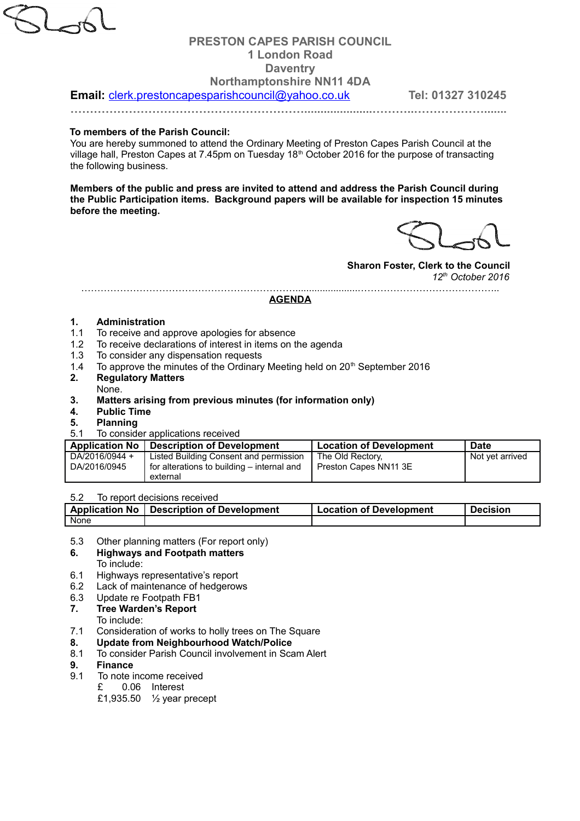# **PRESTON CAPES PARISH COUNCIL 1 London Road Daventry Northamptonshire NN11 4DA**

**Email:** [clerk.prestoncapesparishcouncil@yahoo.co.uk](mailto:clerk.prestoncapesparishcouncil@yahoo.co.uk) **Tel: 01327 310245** 

**…………………………………………………….....................………..……………….......**

### **To members of the Parish Council:**

You are hereby summoned to attend the Ordinary Meeting of Preston Capes Parish Council at the village hall, Preston Capes at 7.45pm on Tuesday 18<sup>th</sup> October 2016 for the purpose of transacting the following business.

**Members of the public and press are invited to attend and address the Parish Council during the Public Participation items. Background papers will be available for inspection 15 minutes before the meeting.**

### **Sharon Foster, Clerk to the Council** *12th October 2016*

………………………………………………………….......................……………………………………..

### **AGENDA**

### **1. Administration**

- 1.1 To receive and approve apologies for absence
- 1.2 To receive declarations of interest in items on the agenda
- 1.3 To consider any dispensation requests
- 1.4 To approve the minutes of the Ordinary Meeting held on  $20<sup>th</sup>$  September 2016
- **2. Regulatory Matters** None.
- **3. Matters arising from previous minutes (for information only)**
- **4. Public Time**
- **5. Planning**
- 5.1 To consider applications received

| Application No                 | <b>Description of Development</b>                                                    | <b>Location of Development</b>            | <b>Date</b>     |
|--------------------------------|--------------------------------------------------------------------------------------|-------------------------------------------|-----------------|
| DA/2016/0944 +<br>DA/2016/0945 | Listed Building Consent and permission<br>for alterations to building – internal and | The Old Rectory.<br>Preston Capes NN11 3E | Not vet arrived |
|                                | external                                                                             |                                           |                 |

### 5.2 To report decisions received

| <b>Application No</b> | Description of Development | <b>Location of Development</b> | <b>Decision</b> |
|-----------------------|----------------------------|--------------------------------|-----------------|
| None                  |                            |                                |                 |

5.3 Other planning matters (For report only)

### **6. Highways and Footpath matters**

To include:

- 6.1 Highways representative's report
- 6.2 Lack of maintenance of hedgerows
- 6.3 Update re Footpath FB1
- **7. Tree Warden's Report**

To include:

- 7.1 Consideration of works to holly trees on The Square
- **8. Update from Neighbourhood Watch/Police**
- 8.1 To consider Parish Council involvement in Scam Alert
- **9. Finance**
- 9.1 To note income received
	- £ 0.06 Interest
	- £1,935.50 ½ year precept